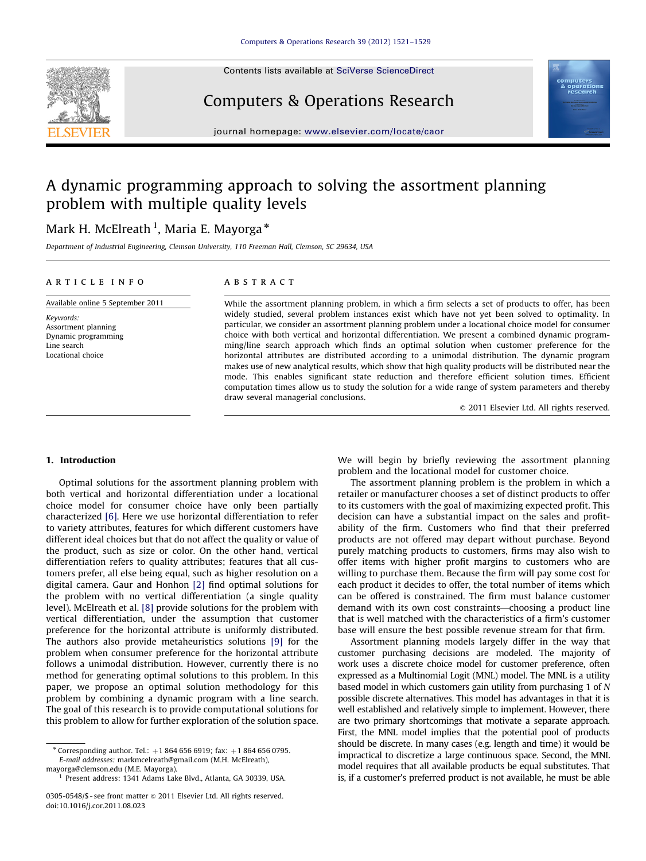

Contents lists available at [SciVerse ScienceDirect](www.elsevier.com/locate/caor)

# Computers & Operations Research



journal homepage: <www.elsevier.com/locate/caor>

# A dynamic programming approach to solving the assortment planning problem with multiple quality levels

## Mark H. McElreath <sup>1</sup>, Maria E. Mayorga \*

Department of Industrial Engineering, Clemson University, 110 Freeman Hall, Clemson, SC 29634, USA

### article info

Available online 5 September 2011

Keywords: Assortment planning Dynamic programming Line search Locational choice

## ABSTRACT

While the assortment planning problem, in which a firm selects a set of products to offer, has been widely studied, several problem instances exist which have not yet been solved to optimality. In particular, we consider an assortment planning problem under a locational choice model for consumer choice with both vertical and horizontal differentiation. We present a combined dynamic programming/line search approach which finds an optimal solution when customer preference for the horizontal attributes are distributed according to a unimodal distribution. The dynamic program makes use of new analytical results, which show that high quality products will be distributed near the mode. This enables significant state reduction and therefore efficient solution times. Efficient computation times allow us to study the solution for a wide range of system parameters and thereby draw several managerial conclusions.

 $\odot$  2011 Elsevier Ltd. All rights reserved.

### 1. Introduction

Optimal solutions for the assortment planning problem with both vertical and horizontal differentiation under a locational choice model for consumer choice have only been partially characterized [\[6\].](#page--1-0) Here we use horizontal differentiation to refer to variety attributes, features for which different customers have different ideal choices but that do not affect the quality or value of the product, such as size or color. On the other hand, vertical differentiation refers to quality attributes; features that all customers prefer, all else being equal, such as higher resolution on a digital camera. Gaur and Honhon [\[2\]](#page--1-0) find optimal solutions for the problem with no vertical differentiation (a single quality level). McElreath et al. [\[8\]](#page--1-0) provide solutions for the problem with vertical differentiation, under the assumption that customer preference for the horizontal attribute is uniformly distributed. The authors also provide metaheuristics solutions [\[9\]](#page--1-0) for the problem when consumer preference for the horizontal attribute follows a unimodal distribution. However, currently there is no method for generating optimal solutions to this problem. In this paper, we propose an optimal solution methodology for this problem by combining a dynamic program with a line search. The goal of this research is to provide computational solutions for this problem to allow for further exploration of the solution space.

We will begin by briefly reviewing the assortment planning problem and the locational model for customer choice.

The assortment planning problem is the problem in which a retailer or manufacturer chooses a set of distinct products to offer to its customers with the goal of maximizing expected profit. This decision can have a substantial impact on the sales and profitability of the firm. Customers who find that their preferred products are not offered may depart without purchase. Beyond purely matching products to customers, firms may also wish to offer items with higher profit margins to customers who are willing to purchase them. Because the firm will pay some cost for each product it decides to offer, the total number of items which can be offered is constrained. The firm must balance customer demand with its own cost constraints—choosing a product line that is well matched with the characteristics of a firm's customer base will ensure the best possible revenue stream for that firm.

Assortment planning models largely differ in the way that customer purchasing decisions are modeled. The majority of work uses a discrete choice model for customer preference, often expressed as a Multinomial Logit (MNL) model. The MNL is a utility based model in which customers gain utility from purchasing 1 of N possible discrete alternatives. This model has advantages in that it is well established and relatively simple to implement. However, there are two primary shortcomings that motivate a separate approach. First, the MNL model implies that the potential pool of products should be discrete. In many cases (e.g. length and time) it would be impractical to discretize a large continuous space. Second, the MNL model requires that all available products be equal substitutes. That is, if a customer's preferred product is not available, he must be able

<sup>\*</sup> Corresponding author. Tel.:  $+1$  864 656 6919; fax:  $+1$  864 656 0795. E-mail addresses: [markmcelreath@gmail.com \(M.H. McElreath\),](mailto:markmcelreath@gmail.com) [mayorga@clemson.edu \(M.E. Mayorga\)](mailto:mayorga@clemson.edu).

<sup>1</sup> Present address: 1341 Adams Lake Blvd., Atlanta, GA 30339, USA.

<sup>0305-0548/\$ -</sup> see front matter @ 2011 Elsevier Ltd. All rights reserved. doi:[10.1016/j.cor.2011.08.023](dx.doi.org/10.1016/j.cor.2011.08.023)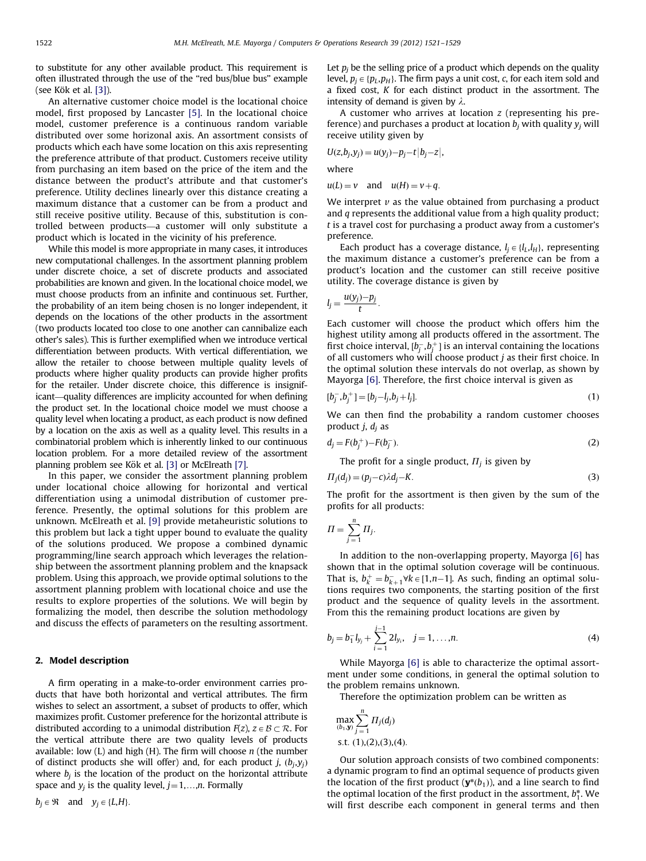to substitute for any other available product. This requirement is often illustrated through the use of the ''red bus/blue bus'' example (see Kök et al.  $[3]$ ).

An alternative customer choice model is the locational choice model, first proposed by Lancaster [\[5\].](#page--1-0) In the locational choice model, customer preference is a continuous random variable distributed over some horizonal axis. An assortment consists of products which each have some location on this axis representing the preference attribute of that product. Customers receive utility from purchasing an item based on the price of the item and the distance between the product's attribute and that customer's preference. Utility declines linearly over this distance creating a maximum distance that a customer can be from a product and still receive positive utility. Because of this, substitution is controlled between products—a customer will only substitute a product which is located in the vicinity of his preference.

While this model is more appropriate in many cases, it introduces new computational challenges. In the assortment planning problem under discrete choice, a set of discrete products and associated probabilities are known and given. In the locational choice model, we must choose products from an infinite and continuous set. Further, the probability of an item being chosen is no longer independent, it depends on the locations of the other products in the assortment (two products located too close to one another can cannibalize each other's sales). This is further exemplified when we introduce vertical differentiation between products. With vertical differentiation, we allow the retailer to choose between multiple quality levels of products where higher quality products can provide higher profits for the retailer. Under discrete choice, this difference is insignificant—quality differences are implicity accounted for when defining the product set. In the locational choice model we must choose a quality level when locating a product, as each product is now defined by a location on the axis as well as a quality level. This results in a combinatorial problem which is inherently linked to our continuous location problem. For a more detailed review of the assortment planning problem see Kök et al. [\[3\]](#page--1-0) or McElreath [\[7\].](#page--1-0)

In this paper, we consider the assortment planning problem under locational choice allowing for horizontal and vertical differentiation using a unimodal distribution of customer preference. Presently, the optimal solutions for this problem are unknown. McElreath et al. [\[9\]](#page--1-0) provide metaheuristic solutions to this problem but lack a tight upper bound to evaluate the quality of the solutions produced. We propose a combined dynamic programming/line search approach which leverages the relationship between the assortment planning problem and the knapsack problem. Using this approach, we provide optimal solutions to the assortment planning problem with locational choice and use the results to explore properties of the solutions. We will begin by formalizing the model, then describe the solution methodology and discuss the effects of parameters on the resulting assortment.

### 2. Model description

A firm operating in a make-to-order environment carries products that have both horizontal and vertical attributes. The firm wishes to select an assortment, a subset of products to offer, which maximizes profit. Customer preference for the horizontal attribute is distributed according to a unimodal distribution  $F(z)$ ,  $z \in \mathcal{B} \subset \mathcal{R}$ . For the vertical attribute there are two quality levels of products available: low  $(L)$  and high  $(H)$ . The firm will choose  $n$  (the number of distinct products she will offer) and, for each product j,  $(b_i, y_i)$ where  $b_i$  is the location of the product on the horizontal attribute space and  $y_i$  is the quality level,  $j=1,...,n$ . Formally

 $b_i \in \mathfrak{R}$  and  $y_i \in \{L, H\}.$ 

Let  $p_i$  be the selling price of a product which depends on the quality level,  $p_i \in \{p_L, p_H\}$ . The firm pays a unit cost, c, for each item sold and a fixed cost, K for each distinct product in the assortment. The intensity of demand is given by  $\lambda$ .

A customer who arrives at location z (representing his preference) and purchases a product at location  $b_j$  with quality  $y_j$  will receive utility given by

$$
U(z, b_j, y_j) = u(y_j) - p_j - t |b_j - z|,
$$

where

 $u(L) = v$  and  $u(H) = v + q$ .

We interpret  $\nu$  as the value obtained from purchasing a product and q represents the additional value from a high quality product; t is a travel cost for purchasing a product away from a customer's preference.

Each product has a coverage distance,  $l_j \in \{l_L, l_H\}$ , representing the maximum distance a customer's preference can be from a product's location and the customer can still receive positive utility. The coverage distance is given by

$$
l_j=\frac{u(y_j)-p_j}{t}.
$$

Each customer will choose the product which offers him the highest utility among all products offered in the assortment. The first choice interval,  $[b_j^-, b_j^+]$  is an interval containing the locations of all customers who will choose product  $j$  as their first choice. In the optimal solution these intervals do not overlap, as shown by Mayorga [\[6\].](#page--1-0) Therefore, the first choice interval is given as

$$
[b_j^-, b_j^+] = [b_j - l_j, b_j + l_j]. \tag{1}
$$

We can then find the probability a random customer chooses product  $j, d_i$  as

$$
d_j = F(b_j^+) - F(b_j^-). \tag{2}
$$

The profit for a single product,  $\Pi_i$  is given by

$$
\Pi_j(d_j) = (p_j - c)\lambda d_j - K. \tag{3}
$$

The profit for the assortment is then given by the sum of the profits for all products:

$$
\Pi = \sum_{j=1}^{n} \Pi_j.
$$

In addition to the non-overlapping property, Mayorga [\[6\]](#page--1-0) has shown that in the optimal solution coverage will be continuous. That is,  $b_k^+ = b_{k+1}^- \forall k \in [1, n-1]$ . As such, finding an optimal solutions requires two components, the starting position of the first product and the sequence of quality levels in the assortment. From this the remaining product locations are given by

$$
b_j = b_1^- l_{y_j} + \sum_{i=1}^{j-1} 2l_{y_i}, \quad j = 1, ..., n.
$$
 (4)

While Mayorga [\[6\]](#page--1-0) is able to characterize the optimal assortment under some conditions, in general the optimal solution to the problem remains unknown.

Therefore the optimization problem can be written as

$$
\max_{(b_1,\mathbf{y})} \sum_{j=1}^n \Pi_j(d_j)
$$
  
s.t. (1),(2),(3),(4).

Our solution approach consists of two combined components: a dynamic program to find an optimal sequence of products given the location of the first product  $(\mathbf{y}^*(b_1))$ , and a line search to find the optimal location of the first product in the assortment,  $b_1^*$ . We will first describe each component in general terms and then